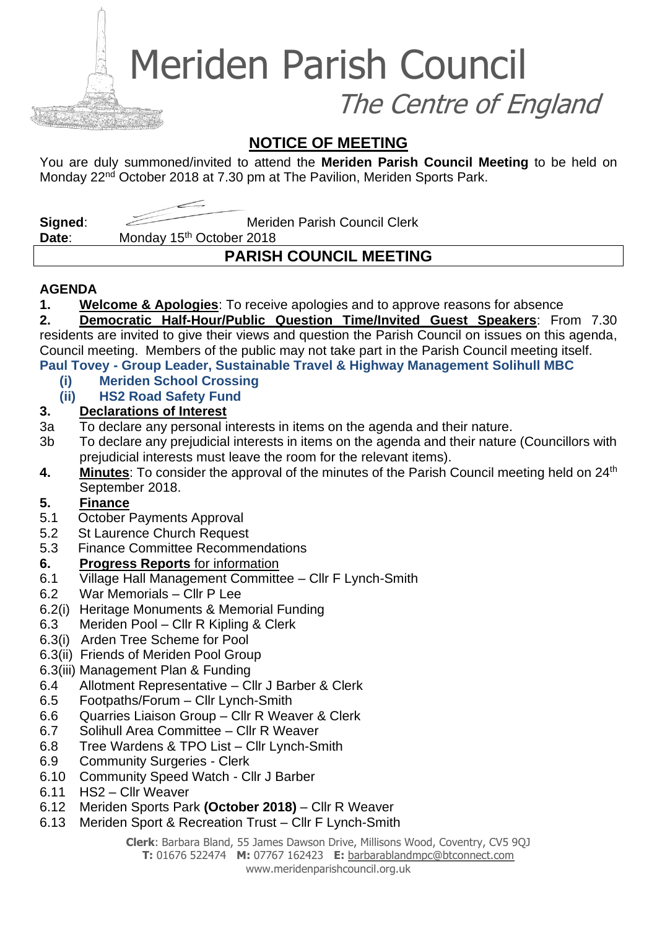Meriden Parish Council

The Centre of England

### **NOTICE OF MEETING**

You are duly summoned/invited to attend the **Meriden Parish Council Meeting** to be held on Monday 22<sup>nd</sup> October 2018 at 7.30 pm at The Pavilion, Meriden Sports Park.

**Signed:** Meriden Parish Council Clerk

Date: Monday 15<sup>th</sup> October 2018

# **PARISH COUNCIL MEETING**

#### **AGENDA**

**1. Welcome & Apologies**: To receive apologies and to approve reasons for absence

**2. Democratic Half-Hour/Public Question Time/Invited Guest Speakers**: From 7.30 residents are invited to give their views and question the Parish Council on issues on this agenda, Council meeting. Members of the public may not take part in the Parish Council meeting itself.

#### **Paul Tovey - Group Leader, Sustainable Travel & Highway Management Solihull MBC**

**(i) Meriden School Crossing**

#### **(ii) HS2 Road Safety Fund**

#### **3. Declarations of Interest**

- 3a To declare any personal interests in items on the agenda and their nature.
- 3b To declare any prejudicial interests in items on the agenda and their nature (Councillors with prejudicial interests must leave the room for the relevant items).
- **4.** Minutes: To consider the approval of the minutes of the Parish Council meeting held on 24<sup>th</sup> September 2018.

#### **5. Finance**

- 5.1 October Payments Approval
- 5.2 St Laurence Church Request
- 5.3 Finance Committee Recommendations

#### **6. Progress Reports** for information

- 6.1 Village Hall Management Committee Cllr F Lynch-Smith
- 6.2 War Memorials Cllr P Lee
- 6.2(i) Heritage Monuments & Memorial Funding
- 6.3 Meriden Pool Cllr R Kipling & Clerk
- 6.3(i) Arden Tree Scheme for Pool
- 6.3(ii) Friends of Meriden Pool Group
- 6.3(iii) Management Plan & Funding
- 6.4 Allotment Representative Cllr J Barber & Clerk
- 6.5 Footpaths/Forum Cllr Lynch-Smith
- 6.6 Quarries Liaison Group Cllr R Weaver & Clerk
- 6.7 Solihull Area Committee Cllr R Weaver
- 6.8 Tree Wardens & TPO List Cllr Lynch-Smith
- 6.9 Community Surgeries Clerk
- 6.10 Community Speed Watch Cllr J Barber
- 6.11 HS2 Cllr Weaver
- 6.12 Meriden Sports Park **(October 2018)** Cllr R Weaver
- 6.13 Meriden Sport & Recreation Trust Cllr F Lynch-Smith

**Clerk**: Barbara Bland, 55 James Dawson Drive, Millisons Wood, Coventry, CV5 9QJ

**T:** 01676 522474 **M:** 07767 162423 **E:** [barbarablandmpc@btconnect.com](mailto:barbarablandmpc@btconnect.com) www.meridenparishcouncil.org.uk